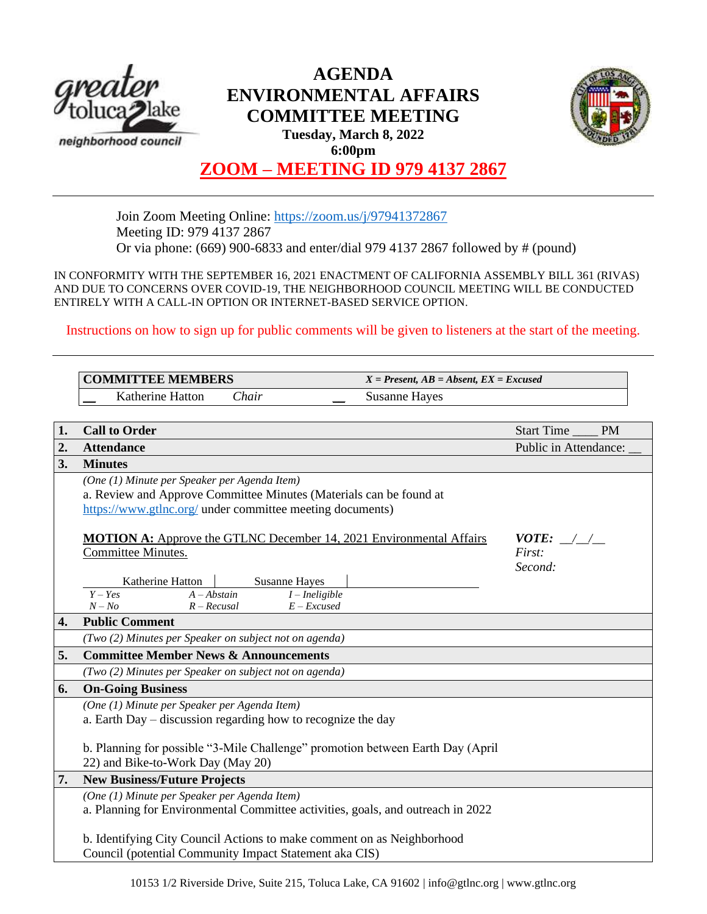

# **AGENDA ENVIRONMENTAL AFFAIRS COMMITTEE MEETING Tuesday, March 8, 2022 6:00pm**



# **ZOOM – MEETING ID 979 4137 2867**

Join Zoom Meeting Online:<https://zoom.us/j/97941372867> Meeting ID: 979 4137 2867 Or via phone: (669) 900-6833 and enter/dial 979 4137 2867 followed by # (pound)

IN CONFORMITY WITH THE SEPTEMBER 16, 2021 ENACTMENT OF CALIFORNIA ASSEMBLY BILL 361 (RIVAS) AND DUE TO CONCERNS OVER COVID-19, THE NEIGHBORHOOD COUNCIL MEETING WILL BE CONDUCTED ENTIRELY WITH A CALL-IN OPTION OR INTERNET-BASED SERVICE OPTION.

Instructions on how to sign up for public comments will be given to listeners at the start of the meeting.

|                  | <b>COMMITTEE MEMBERS</b>                                                                                                                                                        | $X = Present, AB = Absent, EX = Excused$ |                                  |
|------------------|---------------------------------------------------------------------------------------------------------------------------------------------------------------------------------|------------------------------------------|----------------------------------|
|                  | Katherine Hatton<br>Chair                                                                                                                                                       | <b>Susanne Hayes</b>                     |                                  |
|                  |                                                                                                                                                                                 |                                          |                                  |
| 1.               | <b>Call to Order</b>                                                                                                                                                            |                                          | <b>Start Time</b><br><b>PM</b>   |
| $\overline{2}$ . | <b>Attendance</b>                                                                                                                                                               |                                          | Public in Attendance:            |
| 3.               | <b>Minutes</b>                                                                                                                                                                  |                                          |                                  |
|                  | (One (1) Minute per Speaker per Agenda Item)<br>a. Review and Approve Committee Minutes (Materials can be found at<br>https://www.gtlnc.org/ under committee meeting documents) |                                          |                                  |
|                  | <b>MOTION A:</b> Approve the GTLNC December 14, 2021 Environmental Affairs<br>Committee Minutes.                                                                                |                                          | $VOTE:$ / /<br>First:<br>Second: |
|                  | Katherine Hatton<br><b>Susanne Hayes</b><br>$Y - Yes$<br>$A - Abstain$<br>$I$ – Ineligible<br>$N - No$<br>$R - Recusal$<br>$E - Excused$                                        |                                          |                                  |
| 4.               | <b>Public Comment</b>                                                                                                                                                           |                                          |                                  |
|                  | (Two (2) Minutes per Speaker on subject not on agenda)                                                                                                                          |                                          |                                  |
| 5.               | <b>Committee Member News &amp; Announcements</b>                                                                                                                                |                                          |                                  |
|                  | (Two (2) Minutes per Speaker on subject not on agenda)                                                                                                                          |                                          |                                  |
| 6.               | <b>On-Going Business</b>                                                                                                                                                        |                                          |                                  |
|                  | (One (1) Minute per Speaker per Agenda Item)<br>a. Earth Day – discussion regarding how to recognize the day                                                                    |                                          |                                  |
|                  | b. Planning for possible "3-Mile Challenge" promotion between Earth Day (April<br>22) and Bike-to-Work Day (May 20)                                                             |                                          |                                  |
| 7.               | <b>New Business/Future Projects</b>                                                                                                                                             |                                          |                                  |
|                  | (One (1) Minute per Speaker per Agenda Item)<br>a. Planning for Environmental Committee activities, goals, and outreach in 2022                                                 |                                          |                                  |
|                  | b. Identifying City Council Actions to make comment on as Neighborhood<br>Council (potential Community Impact Statement aka CIS)                                                |                                          |                                  |